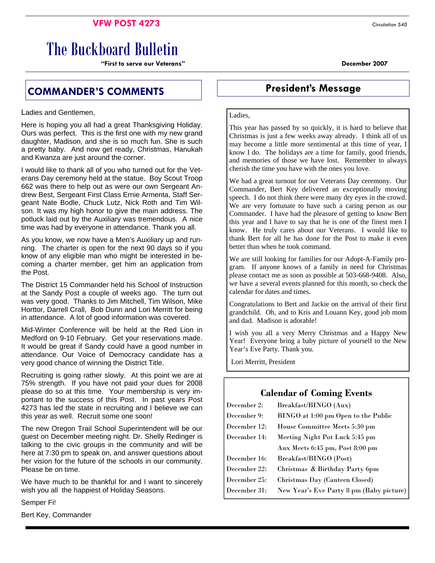## **VFW POST 4273** Circulation 540

# The Buckboard Bulletin

**"First to serve our Veterans" December 2007** 

# **COMMANDER'S COMMENTS President's Message**

Ladies and Gentlemen,

Here is hoping you all had a great Thanksgiving Holiday. Ours was perfect. This is the first one with my new grand daughter, Madison, and she is so much fun. She is such a pretty baby. And now get ready, Christmas, Hanukah and Kwanza are just around the corner.

I would like to thank all of you who turned out for the Veterans Day ceremony held at the statue. Boy Scout Troop 662 was there to help out as were our own Sergeant Andrew Best, Sergeant First Class Ernie Armenta, Staff Sergeant Nate Bodle, Chuck Lutz, Nick Roth and Tim Wilson. It was my high honor to give the main address. The potluck laid out by the Auxiliary was tremendous. A nice time was had by everyone in attendance. Thank you all.

As you know, we now have a Men's Auxiliary up and running. The charter is open for the next 90 days so if you know of any eligible man who might be interested in becoming a charter member, get him an application from the Post.

The District 15 Commander held his School of Instruction at the Sandy Post a couple of weeks ago. The turn out was very good. Thanks to Jim Mitchell, Tim Wilson, Mike Horttor, Darrell Crall, Bob Dunn and Lori Merritt for being in attendance. A lot of good information was covered.

Mid-Winter Conference will be held at the Red Lion in Medford on 9-10 February. Get your reservations made. It would be great if Sandy could have a good number in attendance. Our Voice of Democracy candidate has a very good chance of winning the District Title.

Recruiting is going rather slowly. At this point we are at 75% strength. If you have not paid your dues for 2008 please do so at this time. Your membership is very important to the success of this Post. In past years Post 4273 has led the state in recruiting and I believe we can this year as well. Recruit some one soon!

The new Oregon Trail School Superintendent will be our guest on December meeting night. Dr. Shelly Redinger is talking to the civic groups in the community and will be here at 7:30 pm to speak on, and answer questions about her vision for the future of the schools in our community. Please be on time.

We have much to be thankful for and I want to sincerely wish you all the happiest of Holiday Seasons.

Semper Fi!

Bert Key, Commander

#### Ladies,

This year has passed by so quickly, it is hard to believe that Christmas is just a few weeks away already. I think all of us may become a little more sentimental at this time of year, I know I do. The holidays are a time for family, good friends, and memories of those we have lost. Remember to always cherish the time you have with the ones you love.

We had a great turnout for our Veterans Day ceremony. Our Commander, Bert Key delivered an exceptionally moving speech. I do not think there were many dry eyes in the crowd. We are very fortunate to have such a caring person as our Commander. I have had the pleasure of getting to know Bert this year and I have to say that he is one of the finest men I know. He truly cares about our Veterans. I would like to thank Bert for all he has done for the Post to make it even better than when he took command.

We are still looking for families for our Adopt-A-Family program. If anyone knows of a family in need for Christmas please contact me as soon as possible at 503-668-9408. Also, we have a several events planned for this month, so check the calendar for dates and times.

Congratulations to Bert and Jackie on the arrival of their first grandchild. Oh, and to Kris and Louann Key, good job mom and dad. Madison is adorable!

I wish you all a very Merry Christmas and a Happy New Year! Everyone bring a baby picture of yourself to the New Year's Eve Party. Thank you.

Lori Merritt, President

## **Calendar of Coming Events**

| December 2:  | Breakfast/BINGO (Aux)                    |  |  |
|--------------|------------------------------------------|--|--|
| December 9:  | BINGO at 1:00 pm Open to the Public      |  |  |
| December 12: | House Committee Meets 5:30 pm            |  |  |
| December 14: | Meeting Night Pot Luck 5:45 pm           |  |  |
|              | Aux Meets 6:45 pm, Post 8:00 pm          |  |  |
| December 16: | Breakfast/BINGO (Post)                   |  |  |
| December 22: | Christmas & Birthday Party 6pm           |  |  |
| December 25: | Christmas Day (Canteen Closed)           |  |  |
| December 31: | New Year's Eve Party 8 pm (Baby picture) |  |  |
|              |                                          |  |  |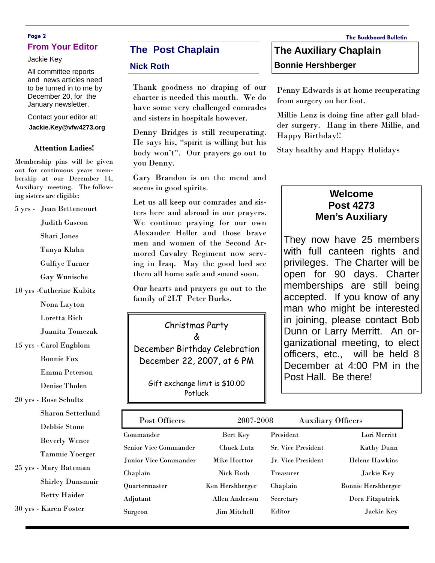### **Page 2 The Buckboard Bulletin From Your Editor**

Jackie Key

All committee reports and news articles need to be turned in to me by December 20, for the January newsletter.

#### Contact your editor at:

**Jackie.Key@vfw4273.org** 

#### **Attention Ladies!**

Membership pins will be given out for continuous years membership at our December 14, Auxiliary meeting. The following sisters are eligible:

5 yrs - Jean Bettencourt

Judith Gascon

Shari Jones

Tanya Klahn

Gulfiye Turner

Gay Wunische

10 yrs -Catherine Kubitz

Nona Layton

Loretta Rich

Juanita Tomczak

15 yrs - Carol Engblom

Bonnie Fox

Emma Peterson

Denise Tholen

20 yrs - Rose Schultz

Sharon Setterlund

Debbie Stone

Beverly Wence

Tammie Yoerger

25 yrs - Mary Bateman Shirley Dunsmuir

Betty Haider

30 yrs - Karen Foster

# **The Post Chaplain**

#### **Nick Roth**

Thank goodness no draping of our charter is needed this month. We do have some very challenged comrades and sisters in hospitals however.

Denny Bridges is still recuperating. He says his, "spirit is willing but his body won't". Our prayers go out to you Denny.

Gary Brandon is on the mend and seems in good spirits.

Let us all keep our comrades and sisters here and abroad in our prayers. We continue praying for our own Alexander Heller and those brave men and women of the Second Armored Cavalry Regiment now serving in Iraq. May the good lord see them all home safe and sound soon.

Our hearts and prayers go out to the family of 2LT Peter Burks.

### Christmas Party

&

December Birthday Celebration December 22, 2007, at 6 PM

Gift exchange limit is \$10.00 Potluck

# **The Auxiliary Chaplain Bonnie Hershberger**

Penny Edwards is at home recuperating from surgery on her foot.

Millie Lenz is doing fine after gall bladder surgery. Hang in there Millie, and Happy Birthday!!

Stay healthy and Happy Holidays

# **Welcome Post 4273 Men's Auxiliary**

They now have 25 members with full canteen rights and privileges. The Charter will be open for 90 days. Charter memberships are still being accepted. If you know of any man who might be interested in joining, please contact Bob Dunn or Larry Merritt. An organizational meeting, to elect officers, etc., will be held 8 December at 4:00 PM in the Post Hall. Be there!

| Post Officers                | 2007-2008         | <b>Auxiliary Officers</b> |                           |
|------------------------------|-------------------|---------------------------|---------------------------|
| Commander                    | Bert Key          | President                 | Lori Merritt              |
| <b>Senior Vice Commander</b> | <b>Chuck Lutz</b> | <b>Sr. Vice President</b> | <b>Kathy Dunn</b>         |
| Junior Vice Commander        | Mike Horttor      | Jr. Vice President        | <b>Helene Hawkins</b>     |
| Chaplain                     | Nick Roth         | Treasurer                 | Jackie Key                |
| Quartermaster                | Ken Hershberger   | Chaplain                  | <b>Bonnie Hershberger</b> |
| Adjutant                     | Allen Anderson    | Secretary                 | Dora Fitzpatrick          |
| Surgeon                      | Jim Mitchell      | Editor                    | Jackie Key                |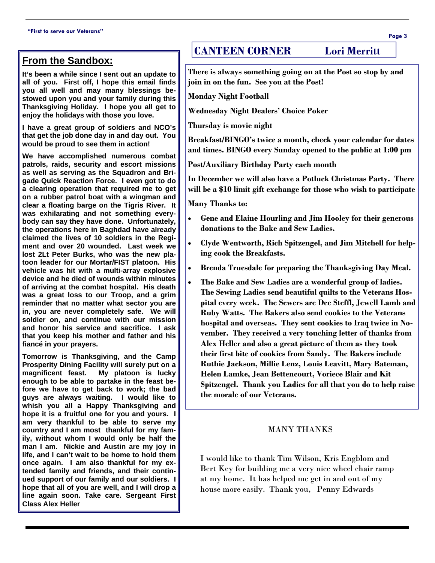# **From the Sandbox:**

**It's been a while since I sent out an update to all of you. First off, I hope this email finds you all well and may many blessings bestowed upon you and your family during this Thanksgiving Holiday. I hope you all get to enjoy the holidays with those you love.** 

**I have a great group of soldiers and NCO's that get the job done day in and day out. You would be proud to see them in action!** 

**We have accomplished numerous combat patrols, raids, security and escort missions as well as serving as the Squadron and Brigade Quick Reaction Force. I even got to do a clearing operation that required me to get on a rubber patrol boat with a wingman and clear a floating barge on the Tigris River. It was exhilarating and not something everybody can say they have done. Unfortunately, the operations here in Baghdad have already claimed the lives of 10 soldiers in the Regiment and over 20 wounded. Last week we lost 2Lt Peter Burks, who was the new platoon leader for our Mortar/FIST platoon. His vehicle was hit with a multi-array explosive device and he died of wounds within minutes of arriving at the combat hospital. His death was a great loss to our Troop, and a grim reminder that no matter what sector you are in, you are never completely safe. We will soldier on, and continue with our mission and honor his service and sacrifice. I ask that you keep his mother and father and his fiancé in your prayers.** 

**Tomorrow is Thanksgiving, and the Camp Prosperity Dining Facility will surely put on a magnificent feast. My platoon is lucky enough to be able to partake in the feast before we have to get back to work; the bad guys are always waiting. I would like to whish you all a Happy Thanksgiving and hope it is a fruitful one for you and yours. I am very thankful to be able to serve my country and I am most thankful for my family, without whom I would only be half the man I am. Nickie and Austin are my joy in life, and I can't wait to be home to hold them once again. I am also thankful for my extended family and friends, and their continued support of our family and our soldiers. I hope that all of you are well, and I will drop a line again soon. Take care. Sergeant First Class Alex Heller** 

# **CANTEEN CORNER Lori Merritt**

**There is always something going on at the Post so stop by and join in on the fun. See you at the Post!** 

**Monday Night Football** 

**Wednesday Night Dealers' Choice Poker** 

**Thursday is movie night** 

**Breakfast/BINGO's twice a month, check your calendar for dates and times. BINGO every Sunday opened to the public at 1:00 pm** 

**Post/Auxiliary Birthday Party each month** 

**In December we will also have a Potluck Christmas Party. There will be a \$10 limit gift exchange for those who wish to participate** 

**Many Thanks to:** 

- **Gene and Elaine Hourling and Jim Hooley for their generous donations to the Bake and Sew Ladies.**
- **Clyde Wentworth, Rich Spitzengel, and Jim Mitchell for helping cook the Breakfasts.**
- **Brenda Truesdale for preparing the Thanksgiving Day Meal.**
- **The Bake and Sew Ladies are a wonderful group of ladies. The Sewing Ladies send beautiful quilts to the Veterans Hospital every week. The Sewers are Dee Steffl, Jewell Lamb and Ruby Watts. The Bakers also send cookies to the Veterans hospital and overseas. They sent cookies to Iraq twice in November. They received a very touching letter of thanks from Alex Heller and also a great picture of them as they took their first bite of cookies from Sandy. The Bakers include Ruthie Jackson, Millie Lenz, Louis Leavitt, Mary Bateman, Helen Lamke, Jean Bettencourt, Voriece Blair and Kit Spitzengel. Thank you Ladies for all that you do to help raise the morale of our Veterans.**

#### MANY THANKS

I would like to thank Tim Wilson, Kris Engblom and Bert Key for building me a very nice wheel chair ramp at my home. It has helped me get in and out of my house more easily. Thank you, Penny Edwards